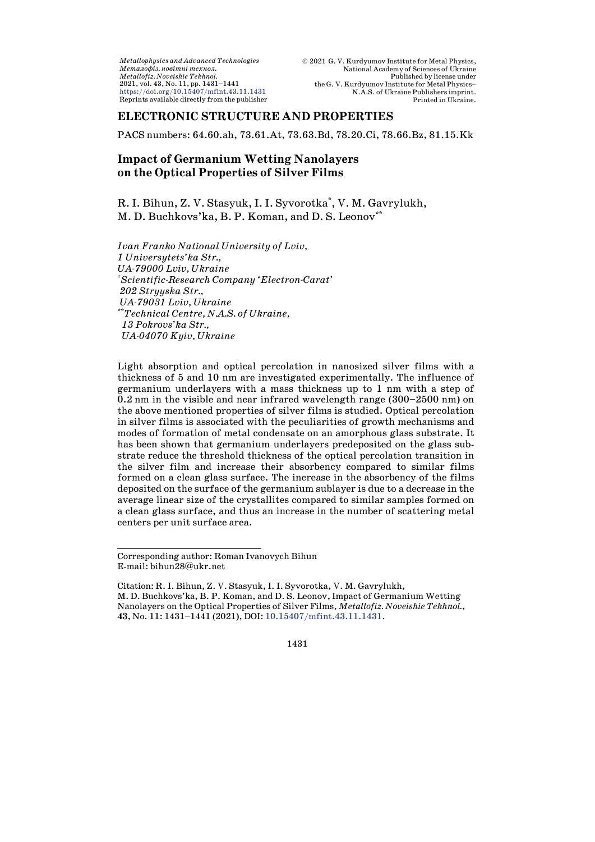*Metallophysics and Advanced Technologies*  $M$ еталофіз. новітні технол. *Metallofiz. Noveishie Tekhnol.* 2021, vol. 43, No. 11, pp. 1431–1441 <https://doi.org/10.15407/mfint.43.11.1431> Reprints available directly from the publisher

# **ELECTRONIC STRUCTURE AND PROPERTIES**

PACS numbers: 64.60.ah, 73.61.At, 73.63.Bd, 78.20.Ci, 78.66.Bz, 81.15.Kk

# **Impact of Germanium Wetting Nanolayers on the Optical Properties of Silver Films**

R. I. Bihun, Z. V. Stasyuk, I. I. Syvorotka\* , V. M. Ga[v](#page-0-0)rylukh, M. D. Buchkovs'ka, B. P. Koman, and D. S. Leonov<sup>\*\*</sup>

*Ivan Franko National University of Lviv, 1 Universytets'ka Str., UA-79000 Lviv, Ukraine* \* *Scientific-Research Company 'Electron-Carat' 202 Stryyska Str., UA-79031 Lviv, Ukraine* \*\**Technical Centre, N.A.S. of Ukraine, 13 Pokrovs'ka Str., UA-04070 Kyiv, Ukraine*

Light absorption and optical percolation in nanosized silver films with a thickness of 5 and 10 nm are investigated experimentally. The influence of germanium underlayers with a mass thickness up to 1 nm with a step of 0.2 nm in the visible and near infrared wavelength range (300–2500 nm) on the above mentioned properties of silver films is studied. Optical percolation in silver films is associated with the peculiarities of growth mechanisms and modes of formation of metal condensate on an amorphous glass substrate. It has been shown that germanium underlayers predeposited on the glass substrate reduce the threshold thickness of the optical percolation transition in the silver film and increase their absorbency compared to similar films formed on a clean glass surface. The increase in the absorbency of the films deposited on the surface of the germanium sublayer is due to a decrease in the average linear size of the crystallites compared to similar samples formed on a clean glass surface, and thus an increase in the number of scattering metal centers per unit surface area.

<span id="page-0-0"></span>Corresponding author: Roman Ivanovych Bihun E-mail: [bihun28@ukr.net](mailto:bihun28@ukr.net)

Citation: R. I. Bihun, Z. V. Stasyuk, I. I. Syvorotka, V. M. Gavrylukh, M. D. Buchkovs'ka, B. P. Koman, and D. S. Leonov,Impact of Germanium Wetting Nanolayers on the Optical Properties of Silver Films, *Metallofiz. Noveishie Tekhnol.*, **43**, No. 11: 1431–1441 (2021), DOI: [10.15407/mfint.43.11.1431.](https://doi.org/10.15407/mfint.43.11.1431)

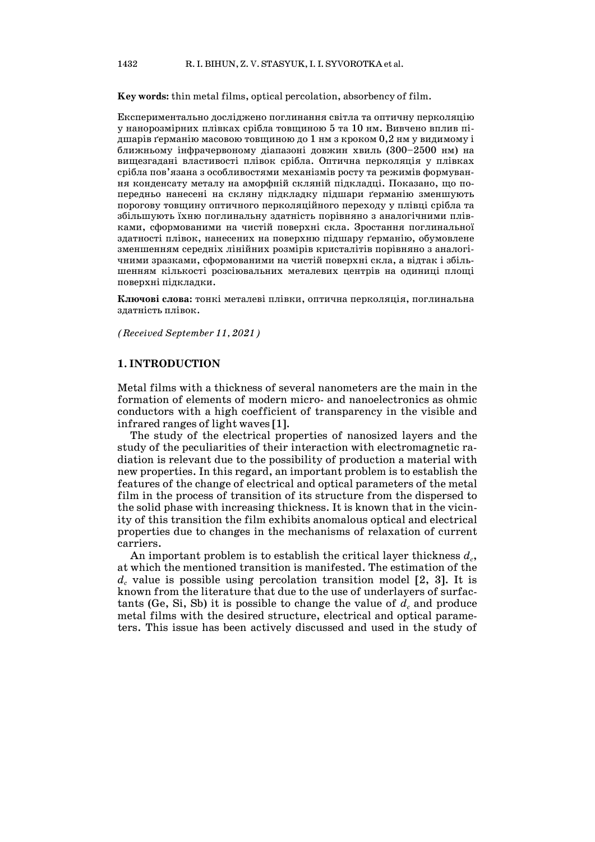**Key words:** thin metal films, optical percolation, absorbency of film.

Експериментально досліджено поглинання світла та оптичну перколяцію у нанорозмірних плівках срібла товщиною 5 та 10 нм. Вивчено вплив підшарів ґерманію масовою товщиною до 1 нм з кроком  $0,2$  нм у видимому і ближньому інфрачервоному діапазоні довжин хвиль (300–2500 нм) на вищезгадані властивості плівок срібла. Оптична перколяція у плівках срібла пов'язана з особливостями механізмів росту та режимів формування конденсату металу на аморфній скляній підкладці. Показано, що попередньо нанесені на скляну підкладку підшари ґерманію зменшують порогову товщину оптичного перколяційного переходу у плівці срібла та збільшують їхню поглинальну здатність порівняно з аналогічними плівками, сформованими на чистій поверхні скла. Зростання поглинальної здатності плівок, нанесених на поверхню підшару ґерманію, обумовлене зменшенням середніх лінійних розмірів кристалітів порівняно з аналогічними зразками, сформованими на чистій поверхні скла, а відтак і збільшенням кількості розсіювальних металевих центрів на одиниці площі поверхні підкладки.

**Ключові слова:** тонкі металеві плівки, оптична перколяція, поглинальна здатність плівок.

*(Received September 11, 2021)*

## **1. INTRODUCTION**

Metal films with a thickness of several nanometers are the main in the formation of elements of modern micro- and nanoelectronics as ohmic conductors with a high coefficient of transparency in the visible and infrared ranges of light waves [1].

The study of the electrical properties of nanosized layers and the study of the peculiarities of their interaction with electromagnetic radiation is relevant due to the possibility of production a material with new properties. In this regard, an important problem is to establish the features of the change of electrical and optical parameters of the metal film in the process of transition of its structure from the dispersed to the solid phase with increasing thickness. It is known that in the vicinity of this transition the film exhibits anomalous optical and electrical properties due to changes in the mechanisms of relaxation of current carriers.

An important problem is to establish the critical layer thickness  $d_c$ , at which the mentioned transition is manifested. The estimation of the  $d_c$  value is possible using percolation transition model  $[2, 3]$ . It is known from the literature that due to the use of underlayers of surfactants (Ge, Si, Sb) it is possible to change the value of  $d_c$  and produce metal films with the desired structure, electrical and optical parameters. This issue has been actively discussed and used in the study of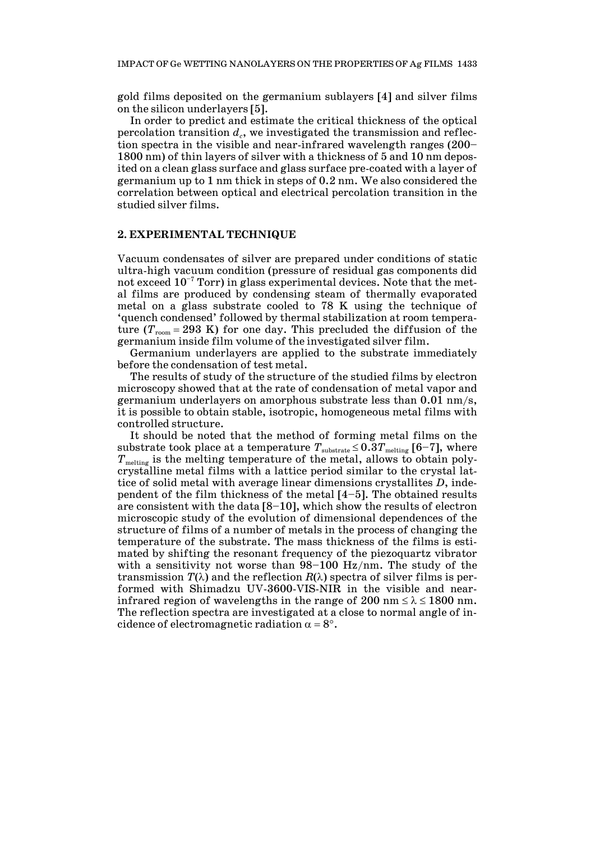gold films deposited on the germanium sublayers [4] and silver films on the silicon underlayers [5].

In order to predict and estimate the critical thickness of the optical percolation transition  $d_c$ , we investigated the transmission and reflection spectra in the visible and near-infrared wavelength ranges (200– 1800 nm) of thin layers of silver with a thickness of 5 and 10 nm deposited on a clean glass surface and glass surface pre-coated with a layer of germanium up to 1 nm thick in steps of 0.2 nm. We also considered the correlation between optical and electrical percolation transition in the studied silver films.

## **2. EXPERIMENTAL TECHNIQUE**

Vacuum condensates of silver are prepared under conditions of static ultra-high vacuum condition (pressure of residual gas components did not exceed  $10^{-7}$  Torr) in glass experimental devices. Note that the metal films are produced by condensing steam of thermally evaporated metal on a glass substrate cooled to 78 K using the technique of 'quench condensed' followed by thermal stabilization at room temperature  $(T_{\text{room}} = 293 \text{ K})$  for one day. This precluded the diffusion of the germanium inside film volume of the investigated silver film.

Germanium underlayers are applied to the substrate immediately before the condensation of test metal.

The results of study of the structure of the studied films by electron microscopy showed that at the rate of condensation of metal vapor and germanium underlayers on amorphous substrate less than 0.01 nm/s, it is possible to obtain stable, isotropic, homogeneous metal films with controlled structure.

It should be noted that the method of forming metal films on the substrate took place at a temperature  $T_{\text{substrate}} \leq 0.3 T_{\text{melting}}$  [6–7], where *T*<sub>melting</sub> is the melting temperature of the metal, allows to obtain polycrystalline metal films with a lattice period similar to the crystal lattice of solid metal with average linear dimensions crystallites *D*, independent of the film thickness of the metal [4–5]. The obtained results are consistent with the data [8–10], which show the results of electron microscopic study of the evolution of dimensional dependences of the structure of films of a number of metals in the process of changing the temperature of the substrate. The mass thickness of the films is estimated by shifting the resonant frequency of the piezoquartz vibrator with a sensitivity not worse than 98–100 Hz/nm. The study of the transmission  $T(\lambda)$  and the reflection  $R(\lambda)$  spectra of silver films is performed with Shimadzu UV-3600-VIS-NIR in the visible and nearinfrared region of wavelengths in the range of 200 nm  $\leq \lambda \leq 1800$  nm. The reflection spectra are investigated at a close to normal angle of incidence of electromagnetic radiation  $\alpha = 8^\circ$ .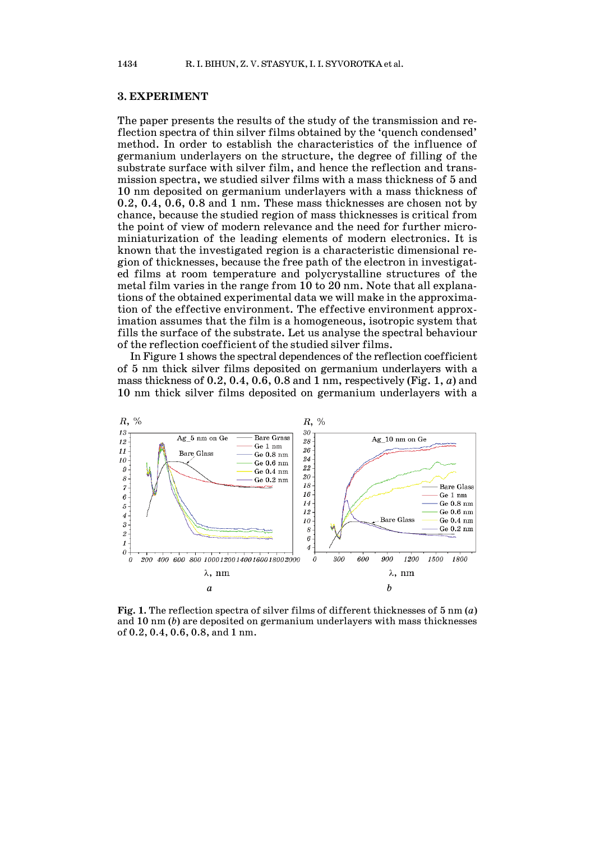#### **3. EXPERIMENT**

The paper presents the results of the study of the transmission and reflection spectra of thin silver films obtained by the 'quench condensed' method. In order to establish the characteristics of the influence of germanium underlayers on the structure, the degree of filling of the substrate surface with silver film, and hence the reflection and transmission spectra, we studied silver films with a mass thickness of 5 and 10 nm deposited on germanium underlayers with a mass thickness of 0.2, 0.4, 0.6, 0.8 and 1 nm. These mass thicknesses are chosen not by chance, because the studied region of mass thicknesses is critical from the point of view of modern relevance and the need for further microminiaturization of the leading elements of modern electronics. It is known that the investigated region is a characteristic dimensional region of thicknesses, because the free path of the electron in investigated films at room temperature and polycrystalline structures of the metal film varies in the range from 10 to 20 nm. Note that all explanations of the obtained experimental data we will make in the approximation of the effective environment. The effective environment approximation assumes that the film is a homogeneous, isotropic system that fills the surface of the substrate. Let us analyse the spectral behaviour of the reflection coefficient of the studied silver films.

In Figure 1 shows the spectral dependences of the reflection coefficient of 5 nm thick silver films deposited on germanium underlayers with a mass thickness of 0.2, 0.4, 0.6, 0.8 and 1 nm, respectively (Fig. 1, *a*) and 10 nm thick silver films deposited on germanium underlayers with a



**Fig. 1.** The reflection spectra of silver films of different thicknesses of 5 nm (*a*) and 10 nm (*b*) are deposited on germanium underlayers with mass thicknesses of 0.2, 0.4, 0.6, 0.8, and 1 nm.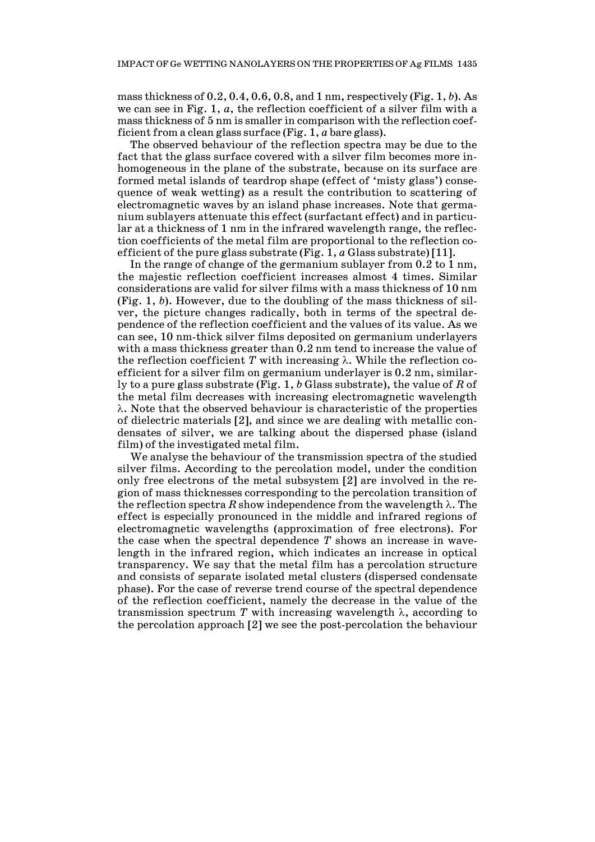mass thickness of 0.2, 0.4, 0.6, 0.8, and 1 nm, respectively (Fig. 1, *b*). As we can see in Fig. 1, *a*, the reflection coefficient of a silver film with a mass thickness of 5 nm is smaller in comparison with the reflection coefficient from a clean glass surface (Fig. 1, *a* bare glass).

The observed behaviour of the reflection spectra may be due to the fact that the glass surface covered with a silver film becomes more inhomogeneous in the plane of the substrate, because on its surface are formed metal islands of teardrop shape (effect of 'misty glass') consequence of weak wetting) as a result the contribution to scattering of electromagnetic waves by an island phase increases. Note that germanium sublayers attenuate this effect (surfactant effect) and in particular at a thickness of 1 nm in the infrared wavelength range, the reflection coefficients of the metal film are proportional to the reflection coefficient of the pure glass substrate (Fig. 1, *a* Glass substrate) [11].

In the range of change of the germanium sublayer from 0.2 to 1 nm, the majestic reflection coefficient increases almost 4 times. Similar considerations are valid for silver films with a mass thickness of 10 nm (Fig. 1, *b*). However, due to the doubling of the mass thickness of silver, the picture changes radically, both in terms of the spectral dependence of the reflection coefficient and the values of its value. As we can see, 10 nm-thick silver films deposited on germanium underlayers with a mass thickness greater than 0.2 nm tend to increase the value of the reflection coefficient *T* with increasing  $\lambda$ . While the reflection coefficient for a silver film on germanium underlayer is 0.2 nm, similarly to a pure glass substrate (Fig. 1, *b* Glass substrate), the value of *R* of the metal film decreases with increasing electromagnetic wavelength λ. Note that the observed behaviour is characteristic of the properties of dielectric materials [2], and since we are dealing with metallic condensates of silver, we are talking about the dispersed phase (island film) of the investigated metal film.

We analyse the behaviour of the transmission spectra of the studied silver films. According to the percolation model, under the condition only free electrons of the metal subsystem [2] are involved in the region of mass thicknesses corresponding to the percolation transition of the reflection spectra *R* show independence from the wavelength  $\lambda$ . The effect is especially pronounced in the middle and infrared regions of electromagnetic wavelengths (approximation of free electrons). For the case when the spectral dependence *T* shows an increase in wavelength in the infrared region, which indicates an increase in optical transparency. We say that the metal film has a percolation structure and consists of separate isolated metal clusters (dispersed condensate phase). For the case of reverse trend course of the spectral dependence of the reflection coefficient, namely the decrease in the value of the transmission spectrum  $T$  with increasing wavelength  $\lambda$ , according to the percolation approach [2] we see the post-percolation the behaviour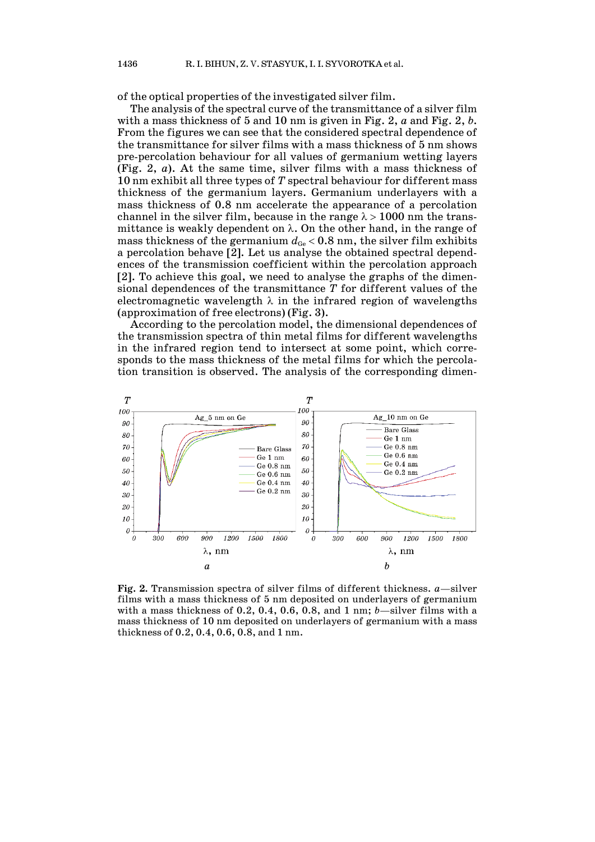of the optical properties of the investigated silver film.

The analysis of the spectral curve of the transmittance of a silver film with a mass thickness of 5 and 10 nm is given in Fig. 2, *a* and Fig. 2, *b*. From the figures we can see that the considered spectral dependence of the transmittance for silver films with a mass thickness of 5 nm shows pre-percolation behaviour for all values of germanium wetting layers (Fig. 2, *a*). At the same time, silver films with a mass thickness of 10 nm exhibit all three types of *T* spectral behaviour for different mass thickness of the germanium layers. Germanium underlayers with a mass thickness of 0.8 nm accelerate the appearance of a percolation channel in the silver film, because in the range  $\lambda > 1000$  nm the transmittance is weakly dependent on  $\lambda$ . On the other hand, in the range of mass thickness of the germanium  $d_{Ge}$  < 0.8 nm, the silver film exhibits a percolation behave [2]. Let us analyse the obtained spectral dependences of the transmission coefficient within the percolation approach [2]. To achieve this goal, we need to analyse the graphs of the dimensional dependences of the transmittance *T* for different values of the electromagnetic wavelength  $\lambda$  in the infrared region of wavelengths (approximation of free electrons) (Fig. 3).

According to the percolation model, the dimensional dependences of the transmission spectra of thin metal films for different wavelengths in the infrared region tend to intersect at some point, which corresponds to the mass thickness of the metal films for which the percolation transition is observed. The analysis of the corresponding dimen-



**Fig. 2.** Transmission spectra of silver films of different thickness. *a*—silver films with a mass thickness of 5 nm deposited on underlayers of germanium with a mass thickness of 0.2, 0.4, 0.6, 0.8, and 1 nm; *b*—silver films with a mass thickness of 10 nm deposited on underlayers of germanium with a mass thickness of 0.2, 0.4, 0.6, 0.8, and 1 nm.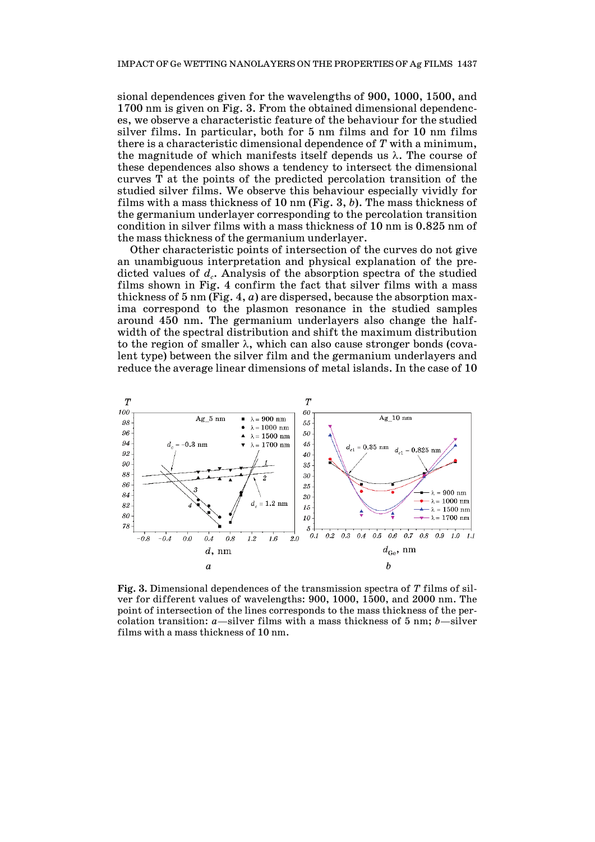sional dependences given for the wavelengths of 900, 1000, 1500, and 1700 nm is given on Fig. 3. From the obtained dimensional dependences, we observe a characteristic feature of the behaviour for the studied silver films. In particular, both for 5 nm films and for 10 nm films there is a characteristic dimensional dependence of *T* with a minimum, the magnitude of which manifests itself depends us  $\lambda$ . The course of these dependences also shows a tendency to intersect the dimensional curves T at the points of the predicted percolation transition of the studied silver films. We observe this behaviour especially vividly for films with a mass thickness of 10 nm (Fig. 3, *b*). The mass thickness of the germanium underlayer corresponding to the percolation transition condition in silver films with a mass thickness of 10 nm is 0.825 nm of the mass thickness of the germanium underlayer.

Other characteristic points of intersection of the curves do not give an unambiguous interpretation and physical explanation of the predicted values of  $d_c$ . Analysis of the absorption spectra of the studied films shown in Fig. 4 confirm the fact that silver films with a mass thickness of 5 nm (Fig. 4, *a*) are dispersed, because the absorption maxima correspond to the plasmon resonance in the studied samples around 450 nm. The germanium underlayers also change the halfwidth of the spectral distribution and shift the maximum distribution to the region of smaller  $\lambda$ , which can also cause stronger bonds (covalent type) between the silver film and the germanium underlayers and reduce the average linear dimensions of metal islands. In the case of 10



**Fig. 3.** Dimensional dependences of the transmission spectra of *T* films of silver for different values of wavelengths: 900, 1000, 1500, and 2000 nm. The point of intersection of the lines corresponds to the mass thickness of the percolation transition: *a*—silver films with a mass thickness of 5 nm; *b*—silver films with a mass thickness of 10 nm.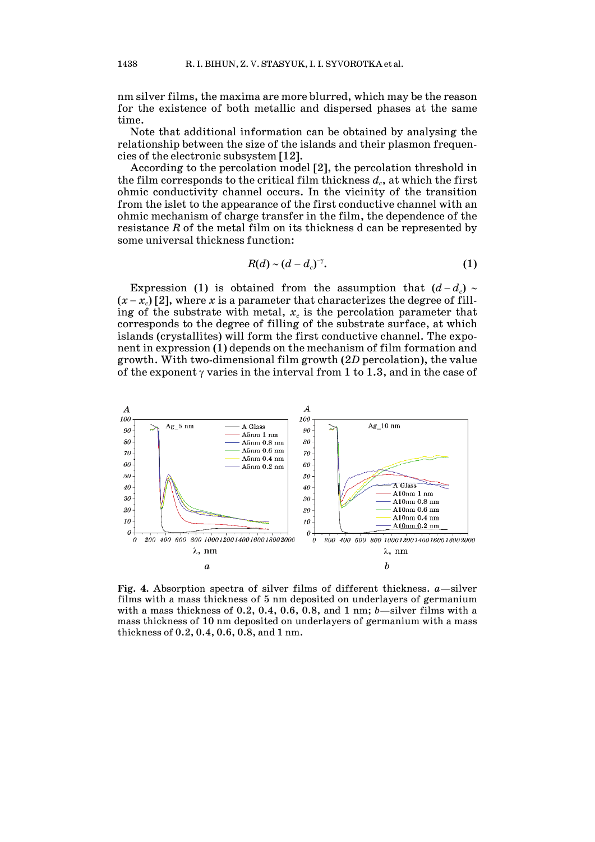nm silver films, the maxima are more blurred, which may be the reason for the existence of both metallic and dispersed phases at the same time.

Note that additional information can be obtained by analysing the relationship between the size of the islands and their plasmon frequencies of the electronic subsystem [12].

According to the percolation model [2], the percolation threshold in the film corresponds to the critical film thickness  $d_c$ , at which the first ohmic conductivity channel occurs. In the vicinity of the transition from the islet to the appearance of the first conductive channel with an ohmic mechanism of charge transfer in the film, the dependence of the resistance *R* of the metal film on its thickness d can be represented by some universal thickness function:

$$
R(d) \sim (d-d_c)^{-\gamma}.\tag{1}
$$

Expression (1) is obtained from the assumption that  $(d - d_c) \sim$  $(x-x_c)$  [2], where *x* is a parameter that characterizes the degree of filling of the substrate with metal,  $x_c$  is the percolation parameter that corresponds to the degree of filling of the substrate surface, at which islands (crystallites) will form the first conductive channel. The exponent in expression (1) depends on the mechanism of film formation and growth. With two-dimensional film growth (2*D* percolation), the value of the exponent  $\gamma$  varies in the interval from 1 to 1.3, and in the case of



**Fig. 4.** Absorption spectra of silver films of different thickness. *a*—silver films with a mass thickness of 5 nm deposited on underlayers of germanium with a mass thickness of 0.2, 0.4, 0.6, 0.8, and 1 nm; *b*—silver films with a mass thickness of 10 nm deposited on underlayers of germanium with a mass thickness of 0.2, 0.4, 0.6, 0.8, and 1 nm.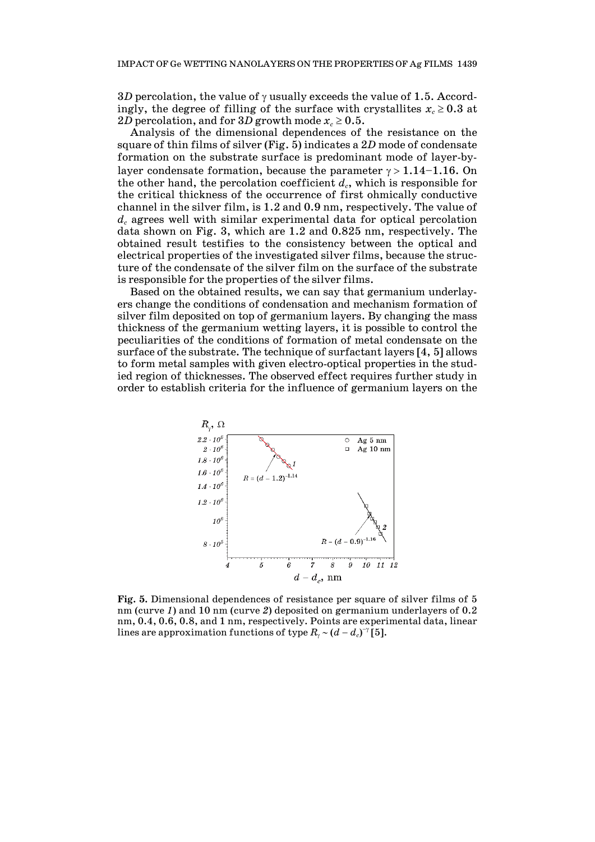3*D* percolation, the value of  $\gamma$  usually exceeds the value of 1.5. Accordingly, the degree of filling of the surface with crystallites  $x_c \geq 0.3$  at 2*D* percolation, and for 3*D* growth mode  $x_c \geq 0.5$ .

Analysis of the dimensional dependences of the resistance on the square of thin films of silver (Fig. 5) indicates a 2*D* mode of condensate formation on the substrate surface is predominant mode of layer-bylayer condensate formation, because the parameter  $\gamma > 1.14-1.16$ . On the other hand, the percolation coefficient  $d_c$ , which is responsible for the critical thickness of the occurrence of first ohmically conductive channel in the silver film, is 1.2 and 0.9 nm, respectively. The value of  $d_c$  agrees well with similar experimental data for optical percolation data shown on Fig. 3, which are 1.2 and 0.825 nm, respectively. The obtained result testifies to the consistency between the optical and electrical properties of the investigated silver films, because the structure of the condensate of the silver film on the surface of the substrate is responsible for the properties of the silver films.

Based on the obtained results, we can say that germanium underlayers change the conditions of condensation and mechanism formation of silver film deposited on top of germanium layers. By changing the mass thickness of the germanium wetting layers, it is possible to control the peculiarities of the conditions of formation of metal condensate on the surface of the substrate. The technique of surfactant layers [4, 5] allows to form metal samples with given electro-optical properties in the studied region of thicknesses. The observed effect requires further study in order to establish criteria for the influence of germanium layers on the



**Fig. 5.** Dimensional dependences of resistance per square of silver films of 5 nm (curve *1*) and 10 nm (curve *2*) deposited on germanium underlayers of 0.2 nm, 0.4, 0.6, 0.8, and 1 nm, respectively. Points are experimental data, linear lines are approximation functions of type  $R_{\gamma}$  ~ ( $d$  −  $d_c$ )<sup>−γ</sup> [5].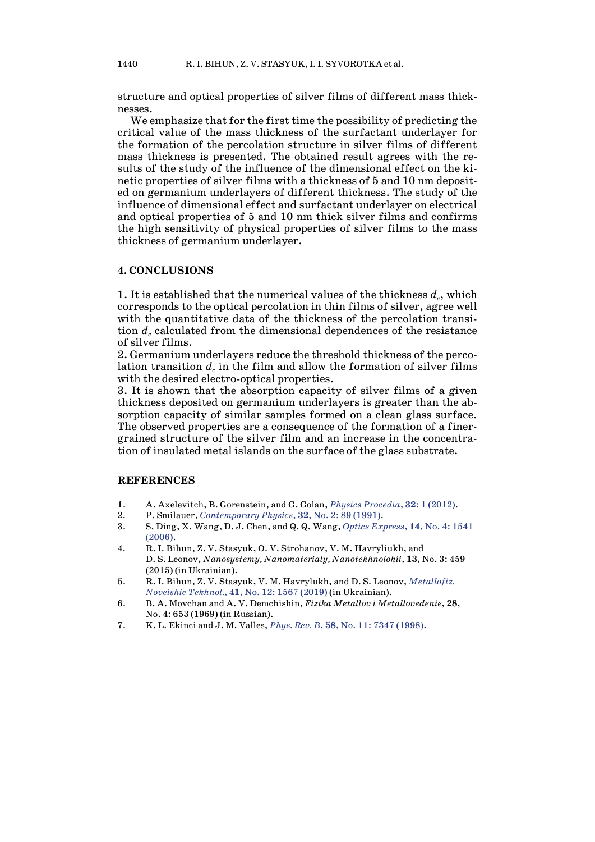structure and optical properties of silver films of different mass thicknesses.

We emphasize that for the first time the possibility of predicting the critical value of the mass thickness of the surfactant underlayer for the formation of the percolation structure in silver films of different mass thickness is presented. The obtained result agrees with the results of the study of the influence of the dimensional effect on the kinetic properties of silver films with a thickness of 5 and 10 nm deposited on germanium underlayers of different thickness. The study of the influence of dimensional effect and surfactant underlayer on electrical and optical properties of 5 and 10 nm thick silver films and confirms the high sensitivity of physical properties of silver films to the mass thickness of germanium underlayer.

# **4. CONCLUSIONS**

1. It is established that the numerical values of the thickness  $d_c$ , which corresponds to the optical percolation in thin films of silver, agree well with the quantitative data of the thickness of the percolation transition  $d_c$  calculated from the dimensional dependences of the resistance of silver films.

2. Germanium underlayers reduce the threshold thickness of the percolation transition  $d<sub>c</sub>$  in the film and allow the formation of silver films with the desired electro-optical properties.

3. It is shown that the absorption capacity of silver films of a given thickness deposited on germanium underlayers is greater than the absorption capacity of similar samples formed on a clean glass surface. The observed properties are a consequence of the formation of a finergrained structure of the silver film and an increase in the concentration of insulated metal islands on the surface of the glass substrate.

### **REFERENCES**

- 1. A. Axelevitch, B. Gorenstein, and G. Golan, *Physics [Procedia](https://doi.org/10.1016/j.phpro.2012.03.510)*, **32**: 1 (2012).
- 2. P. Smilauer, *[Contemporary](https://doi.org/10.1080/00107519108213805) Physics*, **32**, No. 2: 89 (1991).
- 3. S. Ding, X. Wang, D. J. Chen, and Q. Q. Wang, *Optics [Express](https://doi.org/10.1364/OE.14.001541)*, **14**, No. 4: 1541 [\(2006\).](https://doi.org/10.1364/OE.14.001541)
- 4. R. I. Bihun, Z. V. Stasyuk, O. V. Strohanov, V. M. Havryliukh, and D. S. Leonov, *Nanosystemy, Nanomaterialy, Nanotekhnolohii*, **13**, No. 3: 459 (2015) (in Ukrainian).
- 5. R. I. Bihun, Z. V. Stasyuk, V. M. Havrylukh, and D. S. Leonov, *[Metallofiz.](https://doi.org/10.15407/mfint.41.12.1567) [Noveishie](https://doi.org/10.15407/mfint.41.12.1567) Tekhnol.*, **41**, No. 12: 1567 (2019) (in Ukrainian).
- 6. B. A. Movchan and A. V. Demchishin, *Fizika Metallov i Metallovedenie*, **28**, No. 4: 653 (1969) (in Russian).
- 7. K. L. Ekinci and J. M. Valles, *Phys. Rev. B*, **58**, No. 11: 7347 [\(1998\).](https://doi.org/10.1103/PhysRevB.58.7347)